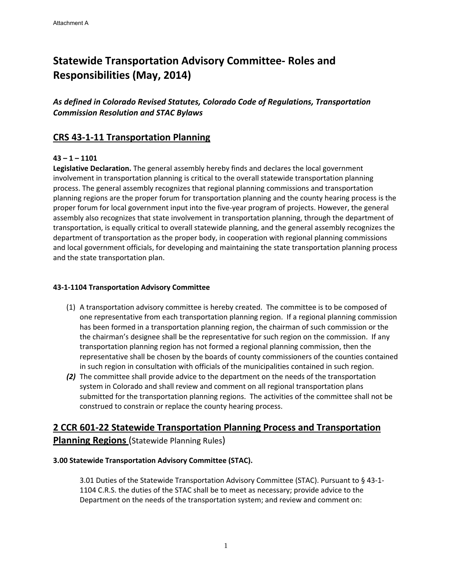# **Statewide Transportation Advisory Committee‐ Roles and Responsibilities (May, 2014)**

*As defined in Colorado Revised Statutes, Colorado Code of Regulations, Transportation Commission Resolution and STAC Bylaws* 

# **CRS 43‐1‐11 Transportation Planning**

## **43 – 1 – 1101**

**Legislative Declaration.** The general assembly hereby finds and declares the local government involvement in transportation planning is critical to the overall statewide transportation planning process. The general assembly recognizes that regional planning commissions and transportation planning regions are the proper forum for transportation planning and the county hearing process is the proper forum for local government input into the five-year program of projects. However, the general assembly also recognizes that state involvement in transportation planning, through the department of transportation, is equally critical to overall statewide planning, and the general assembly recognizes the department of transportation as the proper body, in cooperation with regional planning commissions and local government officials, for developing and maintaining the state transportation planning process and the state transportation plan.

#### **43‐1‐1104 Transportation Advisory Committee**

- (1) A transportation advisory committee is hereby created. The committee is to be composed of one representative from each transportation planning region. If a regional planning commission has been formed in a transportation planning region, the chairman of such commission or the the chairman's designee shall be the representative for such region on the commission. If any transportation planning region has not formed a regional planning commission, then the representative shall be chosen by the boards of county commissioners of the counties contained in such region in consultation with officials of the municipalities contained in such region.
- *(2)* The committee shall provide advice to the department on the needs of the transportation system in Colorado and shall review and comment on all regional transportation plans submitted for the transportation planning regions. The activities of the committee shall not be construed to constrain or replace the county hearing process.

# **2 CCR 601‐22 Statewide Transportation Planning Process and Transportation Planning Regions** (Statewide Planning Rules)

#### **3.00 Statewide Transportation Advisory Committee (STAC).**

3.01 Duties of the Statewide Transportation Advisory Committee (STAC). Pursuant to § 43‐1‐ 1104 C.R.S. the duties of the STAC shall be to meet as necessary; provide advice to the Department on the needs of the transportation system; and review and comment on: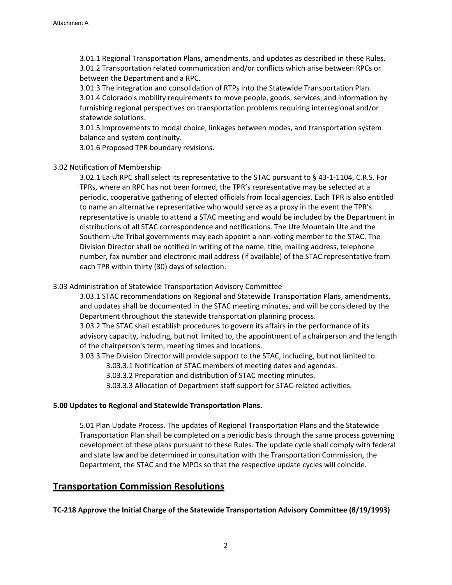3.01.1 Regional Transportation Plans, amendments, and updates as described in these Rules. 3.01.2 Transportation related communication and/or conflicts which arise between RPCs or between the Department and a RPC.

3.01.3 The integration and consolidation of RTPs into the Statewide Transportation Plan. 3.01.4 Colorado's mobility requirements to move people, goods, services, and information by furnishing regional perspectives on transportation problems requiring interregional and/or statewide solutions.

3.01.5 Improvements to modal choice, linkages between modes, and transportation system balance and system continuity.

3.01.6 Proposed TPR boundary revisions.

#### 3.02 Notification of Membership

3.02.1 Each RPC shall select its representative to the STAC pursuant to § 43‐1‐1104, C.R.S. For TPRs, where an RPC has not been formed, the TPR's representative may be selected at a periodic, cooperative gathering of elected officials from local agencies. Each TPR is also entitled to name an alternative representative who would serve as a proxy in the event the TPR's representative is unable to attend a STAC meeting and would be included by the Department in distributions of all STAC correspondence and notifications. The Ute Mountain Ute and the Southern Ute Tribal governments may each appoint a non‐voting member to the STAC. The Division Director shall be notified in writing of the name, title, mailing address, telephone number, fax number and electronic mail address (if available) of the STAC representative from each TPR within thirty (30) days of selection.

#### 3.03 Administration of Statewide Transportation Advisory Committee

3.03.1 STAC recommendations on Regional and Statewide Transportation Plans, amendments, and updates shall be documented in the STAC meeting minutes, and will be considered by the Department throughout the statewide transportation planning process.

3.03.2 The STAC shall establish procedures to govern its affairs in the performance of its advisory capacity, including, but not limited to, the appointment of a chairperson and the length of the chairperson's term, meeting times and locations.

3.03.3 The Division Director will provide support to the STAC, including, but not limited to:

- 3.03.3.1 Notification of STAC members of meeting dates and agendas.
- 3.03.3.2 Preparation and distribution of STAC meeting minutes.
- 3.03.3.3 Allocation of Department staff support for STAC‐related activities.

#### **5.00 Updates to Regional and Statewide Transportation Plans.**

5.01 Plan Update Process. The updates of Regional Transportation Plans and the Statewide Transportation Plan shall be completed on a periodic basis through the same process governing development of these plans pursuant to these Rules. The update cycle shall comply with federal and state law and be determined in consultation with the Transportation Commission, the Department, the STAC and the MPOs so that the respective update cycles will coincide.

#### **Transportation Commission Resolutions**

**TC‐218 Approve the Initial Charge of the Statewide Transportation Advisory Committee (8/19/1993)**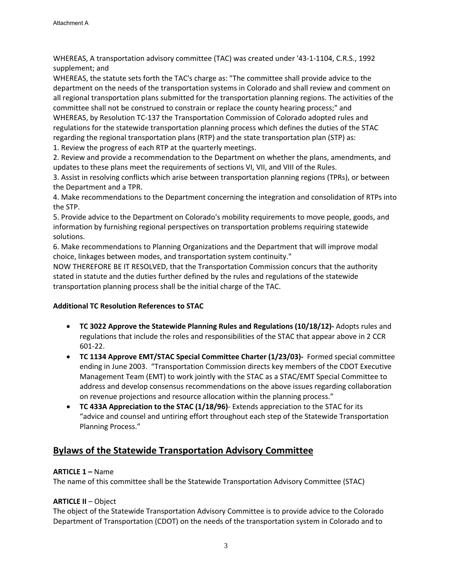WHEREAS, A transportation advisory committee (TAC) was created under '43‐1‐1104, C.R.S., 1992 supplement; and

WHEREAS, the statute sets forth the TAC's charge as: "The committee shall provide advice to the department on the needs of the transportation systems in Colorado and shall review and comment on all regional transportation plans submitted for the transportation planning regions. The activities of the committee shall not be construed to constrain or replace the county hearing process;" and WHEREAS, by Resolution TC‐137 the Transportation Commission of Colorado adopted rules and regulations for the statewide transportation planning process which defines the duties of the STAC regarding the regional transportation plans (RTP) and the state transportation plan (STP) as:

1. Review the progress of each RTP at the quarterly meetings.

2. Review and provide a recommendation to the Department on whether the plans, amendments, and updates to these plans meet the requirements of sections VI, VII, and VIII of the Rules.

3. Assist in resolving conflicts which arise between transportation planning regions (TPRs), or between the Department and a TPR.

4. Make recommendations to the Department concerning the integration and consolidation of RTPs into the STP.

5. Provide advice to the Department on Colorado's mobility requirements to move people, goods, and information by furnishing regional perspectives on transportation problems requiring statewide solutions.

6. Make recommendations to Planning Organizations and the Department that will improve modal choice, linkages between modes, and transportation system continuity."

NOW THEREFORE BE IT RESOLVED, that the Transportation Commission concurs that the authority stated in statute and the duties further defined by the rules and regulations of the statewide transportation planning process shall be the initial charge of the TAC.

## **Additional TC Resolution References to STAC**

- **TC 3022 Approve the Statewide Planning Rules and Regulations (10/18/12)‐** Adopts rules and regulations that include the roles and responsibilities of the STAC that appear above in 2 CCR 601‐22.
- **TC 1134 Approve EMT/STAC Special Committee Charter (1/23/03)‐** Formed special committee ending in June 2003. "Transportation Commission directs key members of the CDOT Executive Management Team (EMT) to work jointly with the STAC as a STAC/EMT Special Committee to address and develop consensus recommendations on the above issues regarding collaboration on revenue projections and resource allocation within the planning process."
- **TC 433A Appreciation to the STAC (1/18/96)**‐ Extends appreciation to the STAC for its "advice and counsel and untiring effort throughout each step of the Statewide Transportation Planning Process."

# **Bylaws of the Statewide Transportation Advisory Committee**

## **ARTICLE 1 –** Name

The name of this committee shall be the Statewide Transportation Advisory Committee (STAC)

## **ARTICLE II** – Object

The object of the Statewide Transportation Advisory Committee is to provide advice to the Colorado Department of Transportation (CDOT) on the needs of the transportation system in Colorado and to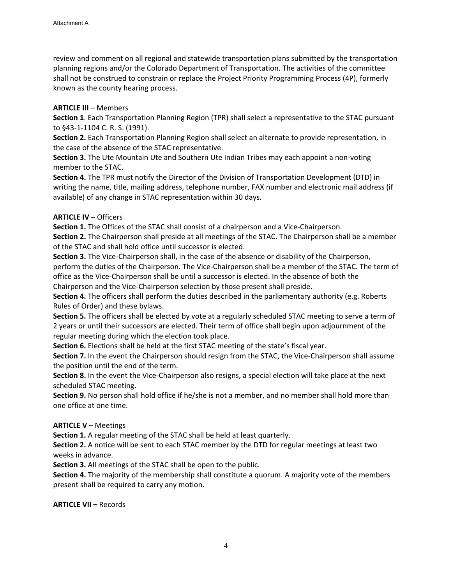review and comment on all regional and statewide transportation plans submitted by the transportation planning regions and/or the Colorado Department of Transportation. The activities of the committee shall not be construed to constrain or replace the Project Priority Programming Process (4P), formerly known as the county hearing process.

#### **ARTICLE III** – Members

**Section 1**. Each Transportation Planning Region (TPR) shall select a representative to the STAC pursuant to §43‐1‐1104 C. R. S. (1991).

**Section 2.** Each Transportation Planning Region shall select an alternate to provide representation, in the case of the absence of the STAC representative.

**Section 3.** The Ute Mountain Ute and Southern Ute Indian Tribes may each appoint a non‐voting member to the STAC.

**Section 4.** The TPR must notify the Director of the Division of Transportation Development (DTD) in writing the name, title, mailing address, telephone number, FAX number and electronic mail address (if available) of any change in STAC representation within 30 days.

#### **ARTICLE IV** – Officers

**Section 1.** The Offices of the STAC shall consist of a chairperson and a Vice-Chairperson.

**Section 2.** The Chairperson shall preside at all meetings of the STAC. The Chairperson shall be a member of the STAC and shall hold office until successor is elected.

**Section 3.** The Vice‐Chairperson shall, in the case of the absence or disability of the Chairperson, perform the duties of the Chairperson. The Vice‐Chairperson shall be a member of the STAC. The term of office as the Vice‐Chairperson shall be until a successor is elected. In the absence of both the Chairperson and the Vice‐Chairperson selection by those present shall preside.

**Section 4.** The officers shall perform the duties described in the parliamentary authority (e.g. Roberts Rules of Order) and these bylaws.

**Section 5.** The officers shall be elected by vote at a regularly scheduled STAC meeting to serve a term of 2 years or until their successors are elected. Their term of office shall begin upon adjournment of the regular meeting during which the election took place.

**Section 6.** Elections shall be held at the first STAC meeting of the state's fiscal year.

**Section 7.** In the event the Chairperson should resign from the STAC, the Vice-Chairperson shall assume the position until the end of the term.

**Section 8.** In the event the Vice‐Chairperson also resigns, a special election will take place at the next scheduled STAC meeting.

**Section 9.** No person shall hold office if he/she is not a member, and no member shall hold more than one office at one time.

#### **ARTICLE V** – Meetings

**Section 1.** A regular meeting of the STAC shall be held at least quarterly.

**Section 2.** A notice will be sent to each STAC member by the DTD for regular meetings at least two weeks in advance.

**Section 3.** All meetings of the STAC shall be open to the public.

**Section 4.** The majority of the membership shall constitute a quorum. A majority vote of the members present shall be required to carry any motion.

**ARTICLE VII –** Records